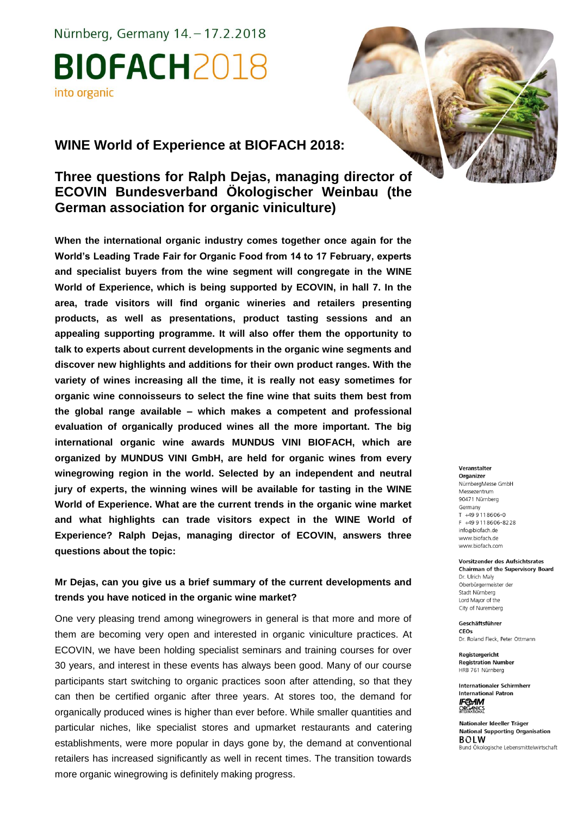Nürnberg, Germany 14. - 17.2.2018 **BIOFACH2018** into organic

## **WINE World of Experience at BIOFACH 2018:**

# **Three questions for Ralph Dejas, managing director of ECOVIN Bundesverband Ökologischer Weinbau (the German association for organic viniculture)**

**When the international organic industry comes together once again for the World's Leading Trade Fair for Organic Food from 14 to 17 February, experts and specialist buyers from the wine segment will congregate in the WINE World of Experience, which is being supported by ECOVIN, in hall 7. In the area, trade visitors will find organic wineries and retailers presenting products, as well as presentations, product tasting sessions and an appealing supporting programme. It will also offer them the opportunity to talk to experts about current developments in the organic wine segments and discover new highlights and additions for their own product ranges. With the variety of wines increasing all the time, it is really not easy sometimes for organic wine connoisseurs to select the fine wine that suits them best from the global range available – which makes a competent and professional evaluation of organically produced wines all the more important. The big international organic wine awards MUNDUS VINI BIOFACH, which are organized by MUNDUS VINI GmbH, are held for organic wines from every winegrowing region in the world. Selected by an independent and neutral jury of experts, the winning wines will be available for tasting in the WINE World of Experience. What are the current trends in the organic wine market and what highlights can trade visitors expect in the WINE World of Experience? Ralph Dejas, managing director of ECOVIN, answers three questions about the topic:** 

### **Mr Dejas, can you give us a brief summary of the current developments and trends you have noticed in the organic wine market?**

One very pleasing trend among winegrowers in general is that more and more of them are becoming very open and interested in organic viniculture practices. At ECOVIN, we have been holding specialist seminars and training courses for over 30 years, and interest in these events has always been good. Many of our course participants start switching to organic practices soon after attending, so that they can then be certified organic after three years. At stores too, the demand for organically produced wines is higher than ever before. While smaller quantities and particular niches, like specialist stores and upmarket restaurants and catering establishments, were more popular in days gone by, the demand at conventional retailers has increased significantly as well in recent times. The transition towards more organic winegrowing is definitely making progress.



Veranstalter

Organizer NürnbergMesse GmbH Messezentrum 90471 Nürnberg Germany  $T + 499118606 - 0$ F +49 9 11 8 6 0 6 - 8 2 2 8 info@biofach.de www.biofach.de www.biofach.com

Vorsitzender des Aufsichtsrates **Chairman of the Supervisory Board** Dr. Ulrich Maly Oberbürgermeister de Stadt Nürnberg Lord Mayor of the City of Nuremberg

Geschäftsführer CEOs Dr. Roland Fleck, Peter Ottmann

Reaisteraericht **Registration Number** HRB 761 Nürnberg

**Internationaler Schirmherr International Patron IF®AM**<br>ORGANICS

Nationaler Ideeller Träger **National Supporting Organisation BOLW** Bund Ökologische Lebensmittelwirtschaft